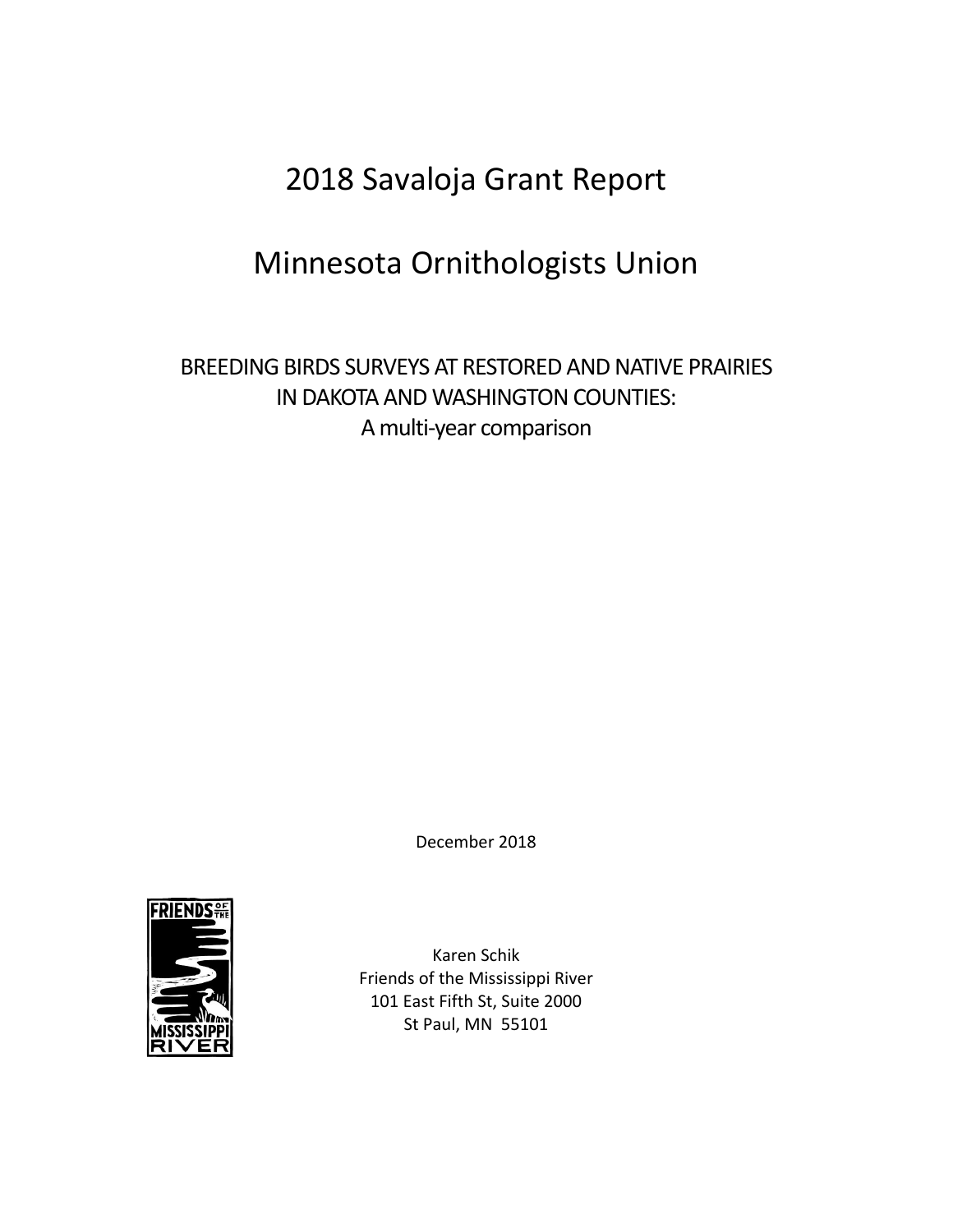# 2018 Savaloja Grant Report

# Minnesota Ornithologists Union

# BREEDING BIRDS SURVEYS AT RESTORED AND NATIVE PRAIRIES IN DAKOTA AND WASHINGTON COUNTIES: A multi-year comparison

December 2018



Karen Schik Friends of the Mississippi River 101 East Fifth St, Suite 2000 St Paul, MN 55101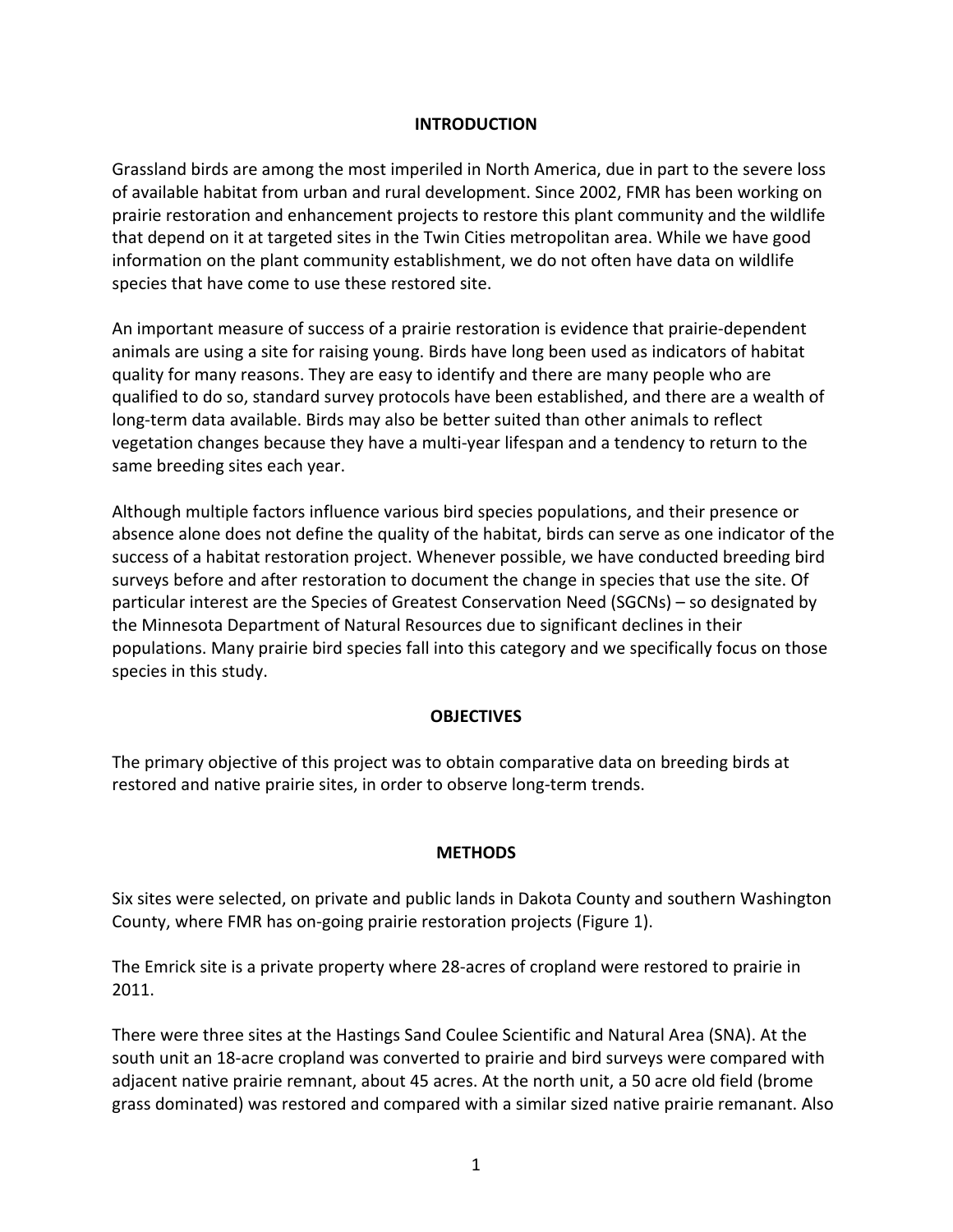#### **INTRODUCTION**

Grassland birds are among the most imperiled in North America, due in part to the severe loss of available habitat from urban and rural development. Since 2002, FMR has been working on prairie restoration and enhancement projects to restore this plant community and the wildlife that depend on it at targeted sites in the Twin Cities metropolitan area. While we have good information on the plant community establishment, we do not often have data on wildlife species that have come to use these restored site.

An important measure of success of a prairie restoration is evidence that prairie-dependent animals are using a site for raising young. Birds have long been used as indicators of habitat quality for many reasons. They are easy to identify and there are many people who are qualified to do so, standard survey protocols have been established, and there are a wealth of long-term data available. Birds may also be better suited than other animals to reflect vegetation changes because they have a multi-year lifespan and a tendency to return to the same breeding sites each year.

Although multiple factors influence various bird species populations, and their presence or absence alone does not define the quality of the habitat, birds can serve as one indicator of the success of a habitat restoration project. Whenever possible, we have conducted breeding bird surveys before and after restoration to document the change in species that use the site. Of particular interest are the Species of Greatest Conservation Need (SGCNs) – so designated by the Minnesota Department of Natural Resources due to significant declines in their populations. Many prairie bird species fall into this category and we specifically focus on those species in this study.

#### **OBJECTIVES**

The primary objective of this project was to obtain comparative data on breeding birds at restored and native prairie sites, in order to observe long-term trends.

#### **METHODS**

Six sites were selected, on private and public lands in Dakota County and southern Washington County, where FMR has on-going prairie restoration projects (Figure 1).

The Emrick site is a private property where 28-acres of cropland were restored to prairie in 2011.

There were three sites at the Hastings Sand Coulee Scientific and Natural Area (SNA). At the south unit an 18-acre cropland was converted to prairie and bird surveys were compared with adjacent native prairie remnant, about 45 acres. At the north unit, a 50 acre old field (brome grass dominated) was restored and compared with a similar sized native prairie remanant. Also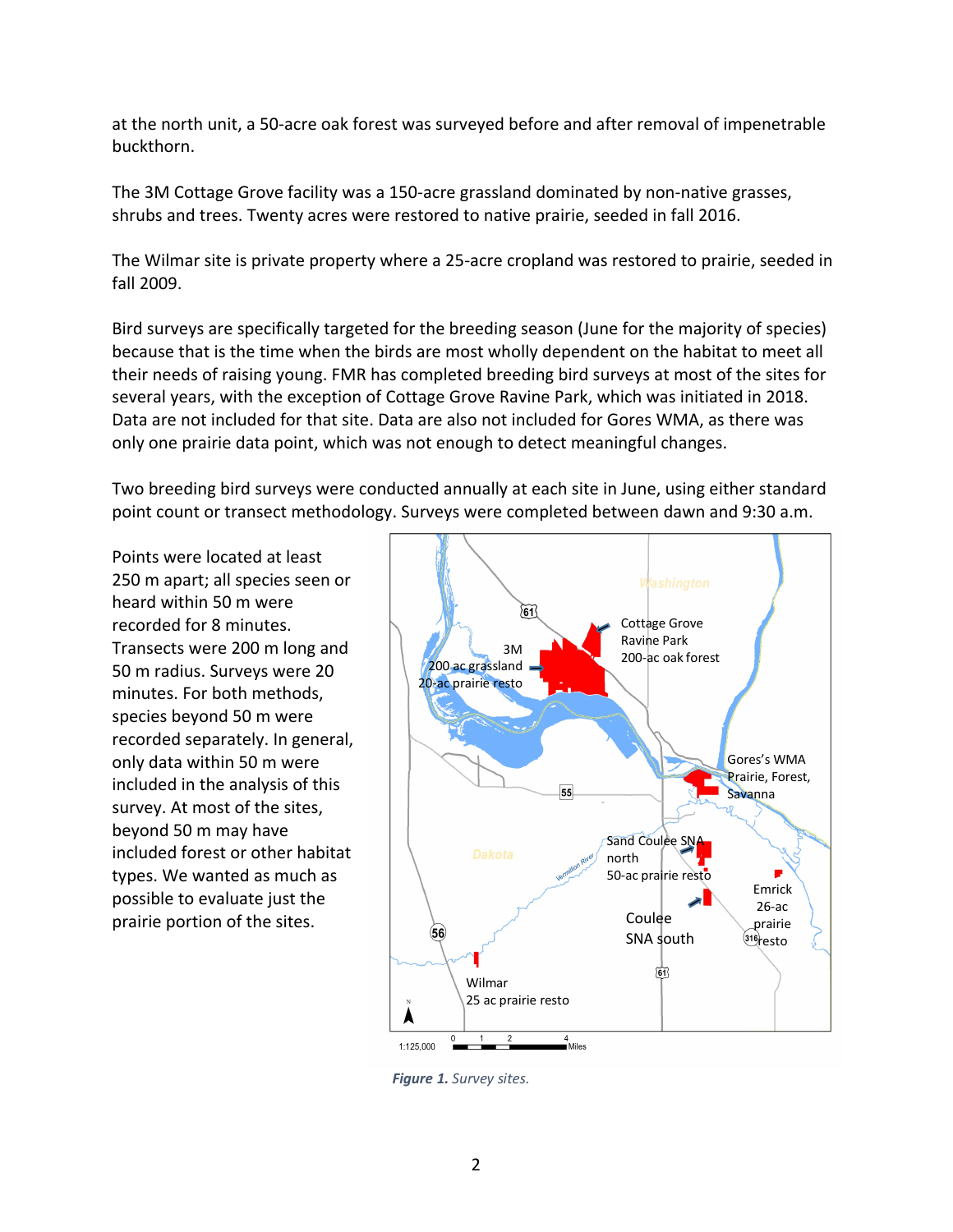at the north unit, a 50-acre oak forest was surveyed before and after removal of impenetrable buckthorn.

The 3M Cottage Grove facility was a 150-acre grassland dominated by non-native grasses, shrubs and trees. Twenty acres were restored to native prairie, seeded in fall 2016.

The Wilmar site is private property where a 25-acre cropland was restored to prairie, seeded in fall 2009.

Bird surveys are specifically targeted for the breeding season (June for the majority of species) because that is the time when the birds are most wholly dependent on the habitat to meet all their needs of raising young. FMR has completed breeding bird surveys at most of the sites for several years, with the exception of Cottage Grove Ravine Park, which was initiated in 2018. Data are not included for that site. Data are also not included for Gores WMA, as there was only one prairie data point, which was not enough to detect meaningful changes.

Two breeding bird surveys were conducted annually at each site in June, using either standard point count or transect methodology. Surveys were completed between dawn and 9:30 a.m.

Points were located at least 250 m apart; all species seen or heard within 50 m were recorded for 8 minutes. Transects were 200 m long and 50 m radius. Surveys were 20 minutes. For both methods, species beyond 50 m were recorded separately. In general, only data within 50 m were included in the analysis of this survey. At most of the sites, beyond 50 m may have included forest or other habitat types. We wanted as much as possible to evaluate just the prairie portion of the sites.



*Figure 1. Survey sites.*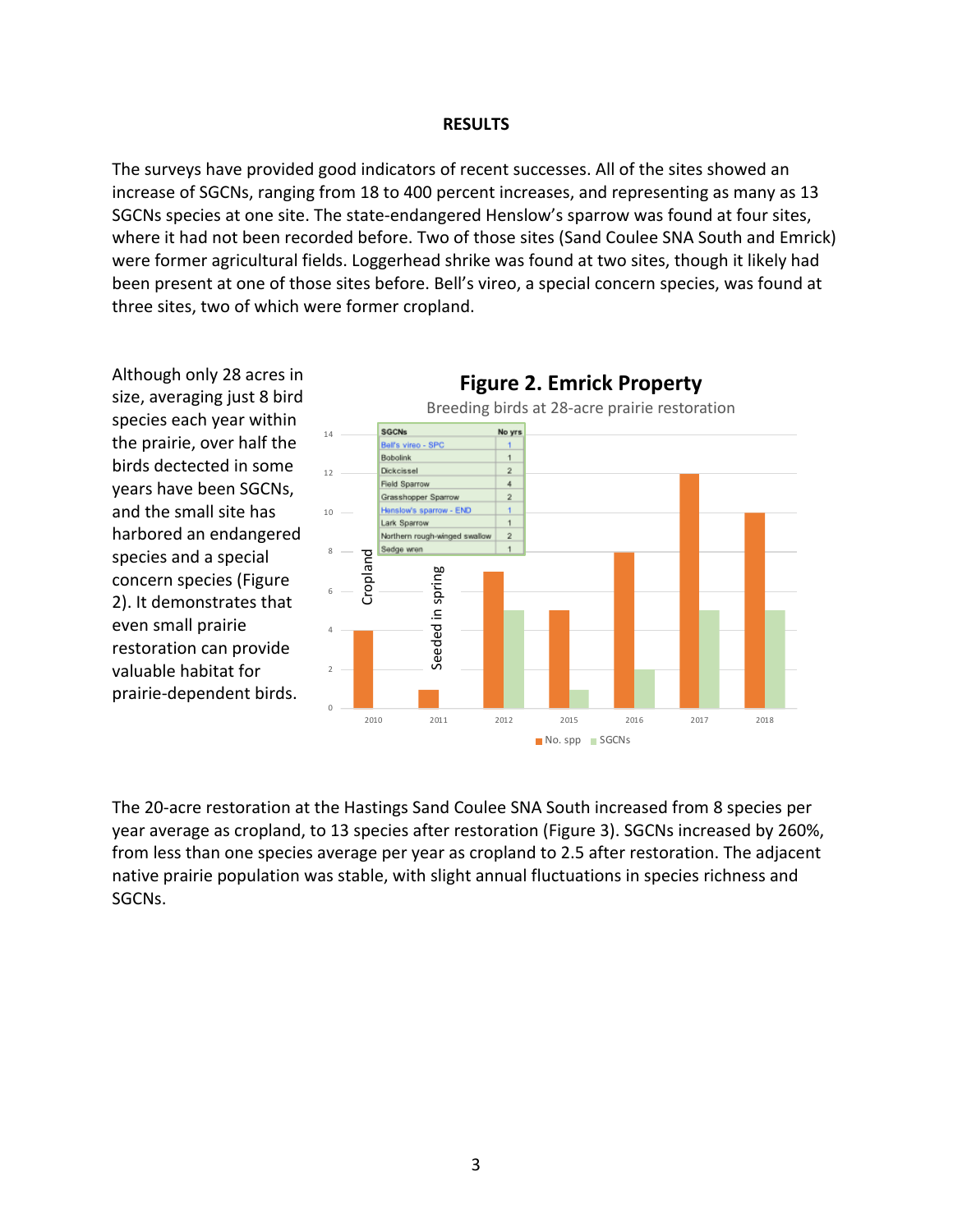#### **RESULTS**

The surveys have provided good indicators of recent successes. All of the sites showed an increase of SGCNs, ranging from 18 to 400 percent increases, and representing as many as 13 SGCNs species at one site. The state-endangered Henslow's sparrow was found at four sites, where it had not been recorded before. Two of those sites (Sand Coulee SNA South and Emrick) were former agricultural fields. Loggerhead shrike was found at two sites, though it likely had been present at one of those sites before. Bell's vireo, a special concern species, was found at three sites, two of which were former cropland.

Although only 28 acres in **Figure 2. Emrick Property** size, averaging just 8 bird Breeding birds at 28-acre prairie restoration species each year within SGCNs No yrs 14 the prairie, over half the Bell's vireo - SPC Bobolink  $\overline{\mathbf{1}}$ birds dectected in some 12 Dickcissel  $\overline{2}$ **Field Sparrow**  $\overline{4}$ years have been SGCNs, Grasshopper Sparrow  $\overline{2}$ and the small site has 10 Henslow's sparrow - END Lark Sparrow  $\mathbf{1}$ harbored an endangered Northern rough-winged swallow  $\overline{2}$ Sedge wren Croplandspecies and a special 8 in spring Seeded in spring concern species (Figure 6 2). It demonstrates that even small prairie Seeded 4 restoration can provide valuable habitat for 2 prairie-dependent birds. 0 2010 2011 2012 2015 2016 2017 2018 No. spp SGCNs

The 20-acre restoration at the Hastings Sand Coulee SNA South increased from 8 species per year average as cropland, to 13 species after restoration (Figure 3). SGCNs increased by 260%, from less than one species average per year as cropland to 2.5 after restoration. The adjacent native prairie population was stable, with slight annual fluctuations in species richness and SGCNs.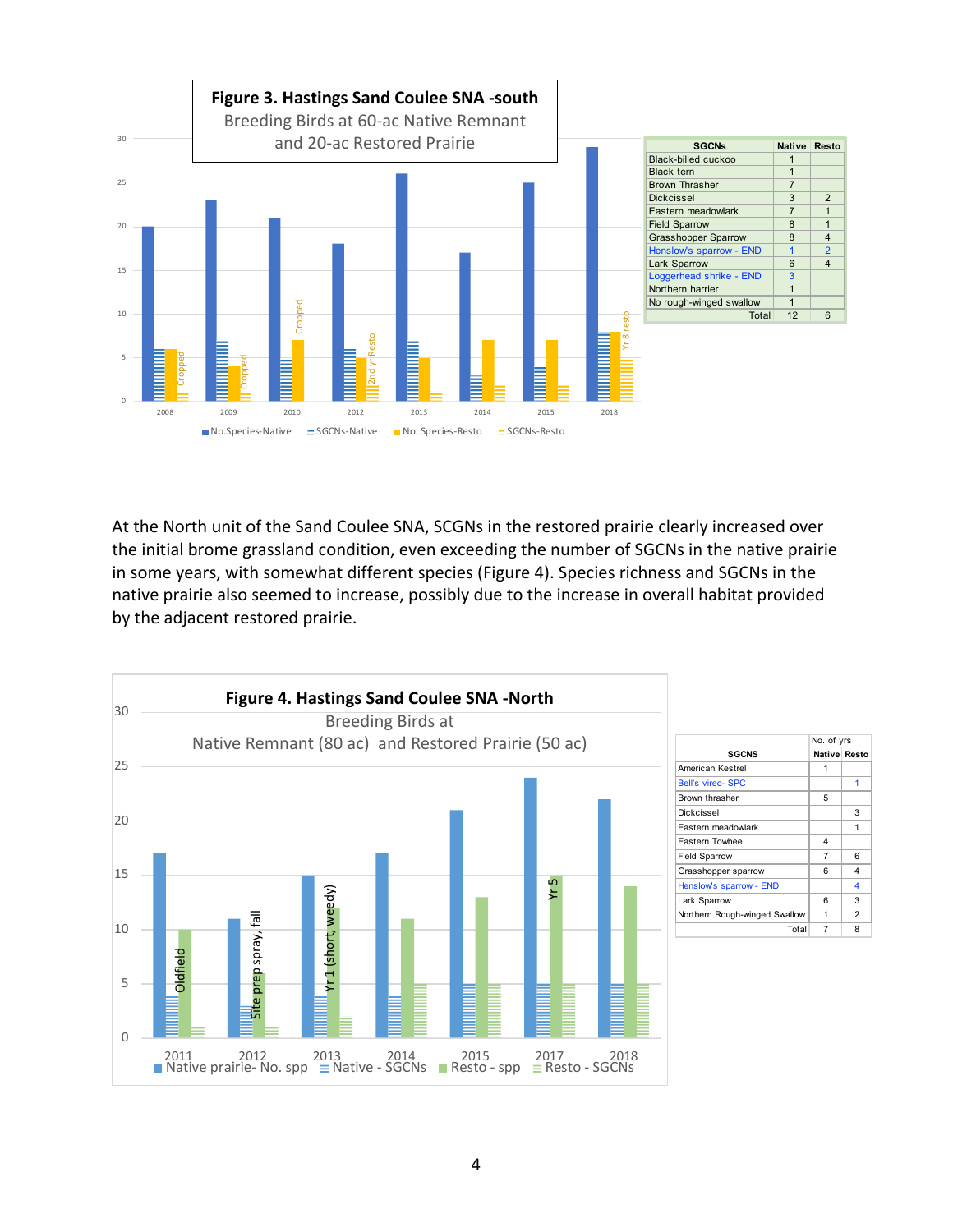

At the North unit of the Sand Coulee SNA, SCGNs in the restored prairie clearly increased over the initial brome grassland condition, even exceeding the number of SGCNs in the native prairie in some years, with somewhat different species (Figure 4). Species richness and SGCNs in the native prairie also seemed to increase, possibly due to the increase in overall habitat provided by the adjacent restored prairie.

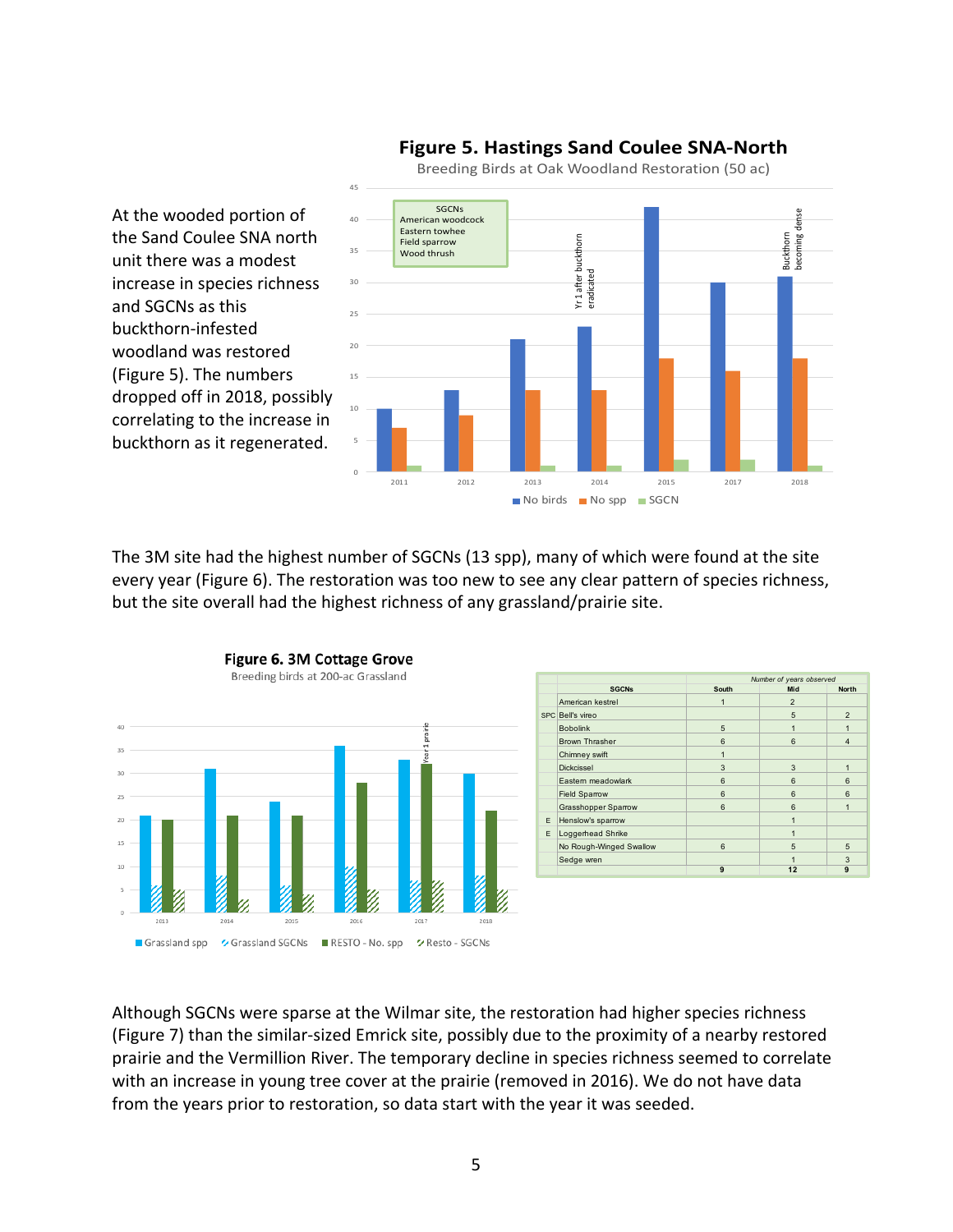

## **Figure 5. Hastings Sand Coulee SNA-North**

The 3M site had the highest number of SGCNs (13 spp), many of which were found at the site every year (Figure 6). The restoration was too new to see any clear pattern of species richness, but the site overall had the highest richness of any grassland/prairie site.



At the wooded portion of the Sand Coulee SNA north unit there was a modest

and SGCNs as this buckthorn-infested woodland was restored (Figure 5). The numbers

|    | <b>SGCNs</b>               | Number of years observed |                 |                         |
|----|----------------------------|--------------------------|-----------------|-------------------------|
|    |                            | South                    | Mid             | <b>North</b>            |
|    | American kestrel           | $\mathbf{1}$             | $\overline{2}$  |                         |
|    | SPC Bell's vireo           |                          | 5               | $\overline{2}$          |
|    | <b>Bobolink</b>            | 5                        | 1               | 1                       |
|    | <b>Brown Thrasher</b>      | 6                        | 6               | $\overline{\mathbf{4}}$ |
|    | Chimney swift              | 1                        |                 |                         |
|    | <b>Dickcissel</b>          | 3                        | 3               | $\mathbf{1}$            |
|    | Eastern meadowlark         | 6                        | 6               | 6                       |
|    | <b>Field Sparrow</b>       | 6                        | $6\overline{6}$ | 6                       |
|    | <b>Grasshopper Sparrow</b> | 6                        | $6\overline{6}$ | $\mathbf{1}$            |
| F  | Henslow's sparrow          |                          | $\overline{1}$  |                         |
| E. | Loggerhead Shrike          |                          | 1               |                         |
|    | No Rough-Winged Swallow    | 6                        | 5               | 5                       |
|    | Sedge wren                 |                          |                 | 3                       |
|    |                            | 9                        | 12              | 9                       |

## Although SGCNs were sparse at the Wilmar site, the restoration had higher species richness (Figure 7) than the similar-sized Emrick site, possibly due to the proximity of a nearby restored prairie and the Vermillion River. The temporary decline in species richness seemed to correlate with an increase in young tree cover at the prairie (removed in 2016). We do not have data from the years prior to restoration, so data start with the year it was seeded.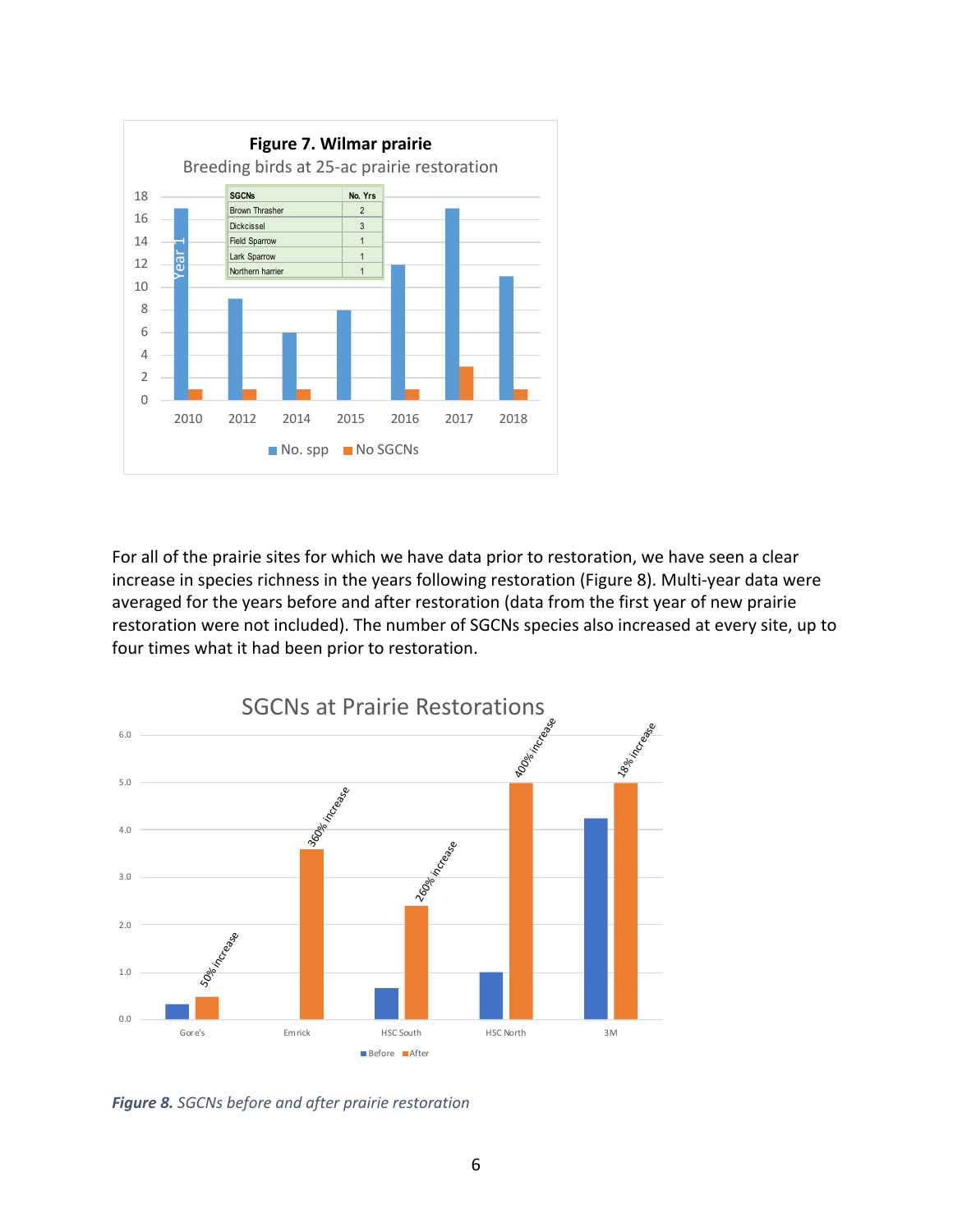

For all of the prairie sites for which we have data prior to restoration, we have seen a clear increase in species richness in the years following restoration (Figure 8). Multi-year data were averaged for the years before and after restoration (data from the first year of new prairie restoration were not included). The number of SGCNs species also increased at every site, up to four times what it had been prior to restoration.



*Figure 8. SGCNs before and after prairie restoration*